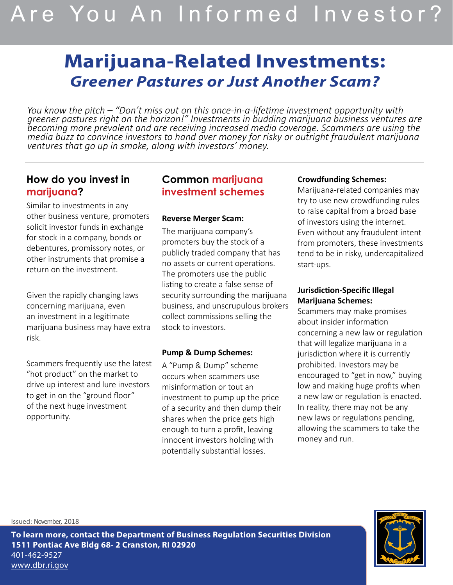# Are You An Informed Investor?

# **Marijuana-Related Investments:** *Greener Pastures or Just Another Scam?*

*You know the pitch – "Don't miss out on this once-in-a-lifetime investment opportunity with greener pastures right on the horizon!" Investments in budding marijuana business ventures are becoming more prevalent and are receiving increased media coverage. Scammers are using the media buzz to convince investors to hand over money for risky or outright fraudulent marijuana ventures that go up in smoke, along with investors' money.*

# **How do you invest in marijuana?**

Similar to investments in any other business venture, promoters solicit investor funds in exchange for stock in a company, bonds or debentures, promissory notes, or other instruments that promise a return on the investment.

Given the rapidly changing laws concerning marijuana, even an investment in a legitimate marijuana business may have extra risk.

Scammers frequently use the latest "hot product" on the market to drive up interest and lure investors to get in on the "ground floor" of the next huge investment opportunity.

# **Common marijuana investment schemes**

#### **Reverse Merger Scam:**

The marijuana company's promoters buy the stock of a publicly traded company that has no assets or current operations. The promoters use the public listing to create a false sense of security surrounding the marijuana business, and unscrupulous brokers collect commissions selling the stock to investors.

#### **Pump & Dump Schemes:**

A "Pump & Dump" scheme occurs when scammers use misinformation or tout an investment to pump up the price of a security and then dump their shares when the price gets high enough to turn a profit, leaving innocent investors holding with potentially substantial losses.

#### **Crowdfunding Schemes:**

Marijuana-related companies may try to use new crowdfunding rules to raise capital from a broad base of investors using the internet. Even without any fraudulent intent from promoters, these investments tend to be in risky, undercapitalized start-ups.

#### **Jurisdiction-Specific Illegal Marijuana Schemes:**

Scammers may make promises about insider information concerning a new law or regulation that will legalize marijuana in a jurisdiction where it is currently prohibited. Investors may be encouraged to "get in now," buying low and making huge profits when a new law or regulation is enacted. In reality, there may not be any new laws or regulations pending, allowing the scammers to take the money and run.

Issued: November, 2018